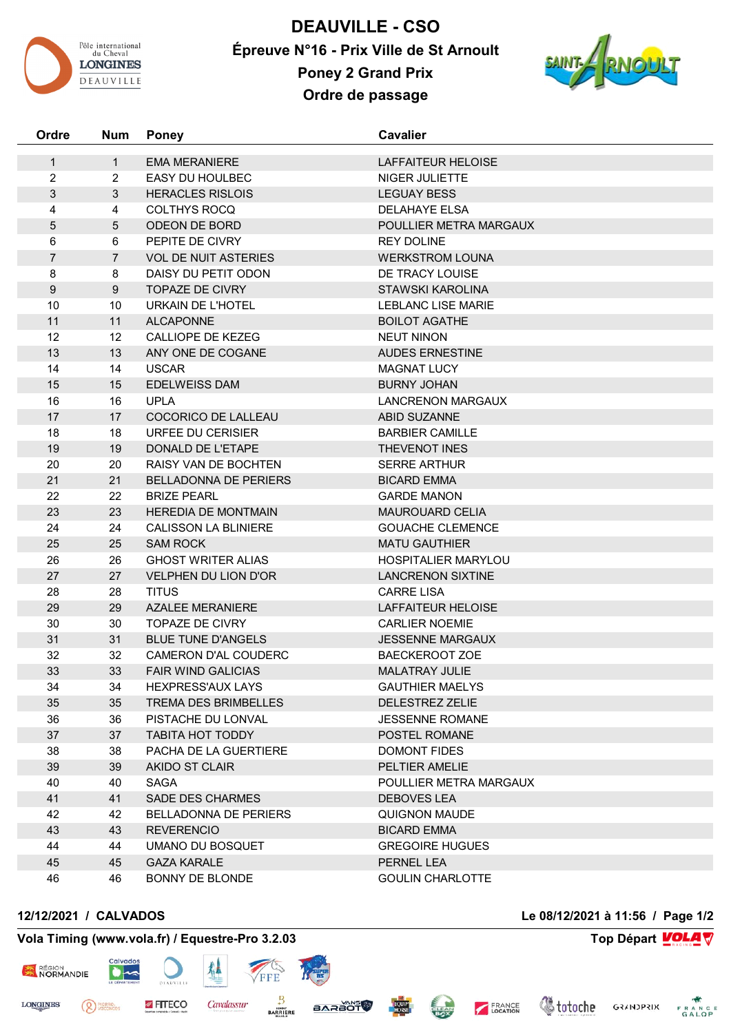

**DEAUVILLE - CSO Épreuve N°16 - Prix Ville de St Arnoult Poney 2 Grand Prix**



**Ordre de passage**

| Ordre               | <b>Num</b>          | <b>Poney</b>                 | <b>Cavalier</b>                             |
|---------------------|---------------------|------------------------------|---------------------------------------------|
| $\mathbf{1}$        | $\mathbf{1}$        | <b>EMA MERANIERE</b>         | LAFFAITEUR HELOISE                          |
| $\overline{2}$      | 2                   | <b>EASY DU HOULBEC</b>       | NIGER JULIETTE                              |
| $\mathfrak{S}$      | 3                   | <b>HERACLES RISLOIS</b>      | <b>LEGUAY BESS</b>                          |
| 4                   | 4                   | <b>COLTHYS ROCQ</b>          | DELAHAYE ELSA                               |
| 5                   | 5                   | ODEON DE BORD                |                                             |
|                     |                     | PEPITE DE CIVRY              | POULLIER METRA MARGAUX<br><b>REY DOLINE</b> |
| 6<br>$\overline{7}$ | 6<br>$\overline{7}$ | <b>VOL DE NUIT ASTERIES</b>  | <b>WERKSTROM LOUNA</b>                      |
|                     |                     | DAISY DU PETIT ODON          | DE TRACY LOUISE                             |
| 8<br>$9\,$          | 8<br>9              | <b>TOPAZE DE CIVRY</b>       | <b>STAWSKI KAROLINA</b>                     |
| 10                  | 10                  | URKAIN DE L'HOTEL            | <b>LEBLANC LISE MARIE</b>                   |
| 11                  | 11                  | <b>ALCAPONNE</b>             | <b>BOILOT AGATHE</b>                        |
| 12                  | 12                  | CALLIOPE DE KEZEG            | <b>NEUT NINON</b>                           |
| 13                  | 13                  | ANY ONE DE COGANE            | <b>AUDES ERNESTINE</b>                      |
| 14                  | 14                  | <b>USCAR</b>                 | <b>MAGNAT LUCY</b>                          |
| 15                  | 15                  | <b>EDELWEISS DAM</b>         | <b>BURNY JOHAN</b>                          |
| 16                  | 16                  | <b>UPLA</b>                  | <b>LANCRENON MARGAUX</b>                    |
| 17                  | 17                  | COCORICO DE LALLEAU          | <b>ABID SUZANNE</b>                         |
| 18                  | 18                  | URFEE DU CERISIER            | <b>BARBIER CAMILLE</b>                      |
| 19                  | 19                  | DONALD DE L'ETAPE            | <b>THEVENOT INES</b>                        |
| 20                  | 20                  | <b>RAISY VAN DE BOCHTEN</b>  | <b>SERRE ARTHUR</b>                         |
| 21                  | 21                  | BELLADONNA DE PERIERS        | <b>BICARD EMMA</b>                          |
| 22                  | 22                  | <b>BRIZE PEARL</b>           | <b>GARDE MANON</b>                          |
| 23                  | 23                  | <b>HEREDIA DE MONTMAIN</b>   | <b>MAUROUARD CELIA</b>                      |
| 24                  | 24                  | <b>CALISSON LA BLINIERE</b>  | <b>GOUACHE CLEMENCE</b>                     |
| 25                  | 25                  | <b>SAM ROCK</b>              | <b>MATU GAUTHIER</b>                        |
| 26                  | 26                  | <b>GHOST WRITER ALIAS</b>    | <b>HOSPITALIER MARYLOU</b>                  |
| 27                  | 27                  | <b>VELPHEN DU LION D'OR</b>  | <b>LANCRENON SIXTINE</b>                    |
| 28                  | 28                  | <b>TITUS</b>                 | <b>CARRE LISA</b>                           |
| 29                  | 29                  | <b>AZALEE MERANIERE</b>      | LAFFAITEUR HELOISE                          |
| 30                  | 30                  | <b>TOPAZE DE CIVRY</b>       | <b>CARLIER NOEMIE</b>                       |
| 31                  | 31                  | <b>BLUE TUNE D'ANGELS</b>    | <b>JESSENNE MARGAUX</b>                     |
| 32                  | 32                  | CAMERON D'AL COUDERC         | <b>BAECKEROOT ZOE</b>                       |
| 33                  | 33                  | <b>FAIR WIND GALICIAS</b>    | MALATRAY JULIE                              |
| 34                  | 34                  | <b>HEXPRESS'AUX LAYS</b>     | <b>GAUTHIER MAELYS</b>                      |
| 35                  | 35                  | <b>TREMA DES BRIMBELLES</b>  | <b>DELESTREZ ZELIE</b>                      |
| 36                  | 36                  | PISTACHE DU LONVAL           | <b>JESSENNE ROMANE</b>                      |
| 37                  | 37                  | <b>TABITA HOT TODDY</b>      | <b>POSTEL ROMANE</b>                        |
| 38                  | 38                  | PACHA DE LA GUERTIERE        | <b>DOMONT FIDES</b>                         |
| 39                  | 39                  | AKIDO ST CLAIR               | PELTIER AMELIE                              |
| 40                  | 40                  | <b>SAGA</b>                  | POULLIER METRA MARGAUX                      |
| 41                  | 41                  | <b>SADE DES CHARMES</b>      | <b>DEBOVES LEA</b>                          |
| 42                  | 42                  | <b>BELLADONNA DE PERIERS</b> | QUIGNON MAUDE                               |
| 43                  | 43                  | <b>REVERENCIO</b>            | <b>BICARD EMMA</b>                          |
| 44                  | 44                  | UMANO DU BOSQUET             | <b>GREGOIRE HUGUES</b>                      |
| 45                  | 45                  | <b>GAZA KARALE</b>           | PERNEL LEA                                  |
| 46                  | 46                  | BONNY DE BLONDE              | <b>GOULIN CHARLOTTE</b>                     |

<sup>PIERRE</sup>

## **Vola Timing (www.vola.fr) / Equestre-Pro 3.2.03 Top Départ VOLA**

FITECO

 $\bullet$ 

犁

Cavalassur

FFE

 $\frac{B}{BARRIERE}$ 

**BARAOT** 



**LONGINES** 

**12/12/2021 / CALVADOS Le 08/12/2021 à 11:56 / Page 1/2**



FRANCE